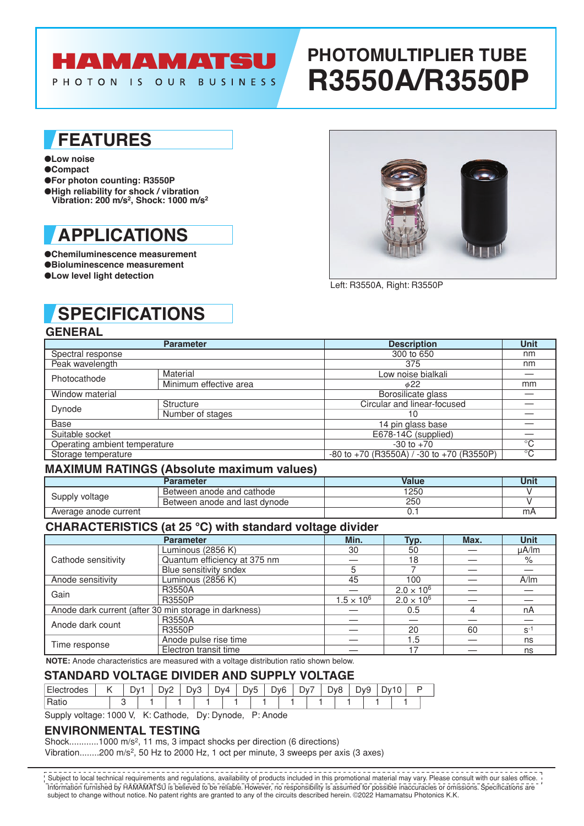# **HAMAMATSU**

PHOTON IS OUR BUSINESS

# **PHOTOMULTIPLIER TUBE R3550A/R3550P**

### **FEATURES**

#### ●**Low noise**

- ●**Compact**
- ●**For photon counting: R3550P** ●**High reliability for shock / vibration**
- **Vibration: 200 m/s2, Shock: 1000 m/s2**

## **APPLICATIONS**

●**Chemiluminescence measurement** ●**Bioluminescence measurement** ●**Low level light detection**



Left: R3550A, Right: R3550P

# **SPECIFICATIONS**

### **GENERAL**

|                               | <b>Parameter</b>       | <b>Description</b>                                | <b>Unit</b> |  |
|-------------------------------|------------------------|---------------------------------------------------|-------------|--|
| Spectral response             |                        | 300 to 650                                        | nm          |  |
| Peak wavelength               |                        | 375                                               | nm          |  |
| Photocathode                  | Material               | Low noise bialkali                                |             |  |
|                               | Minimum effective area | $\phi$ 22                                         | mm          |  |
| Window material               |                        | Borosilicate glass                                |             |  |
| Dynode                        | Structure              | Circular and linear-focused                       |             |  |
|                               | Number of stages       | 10                                                |             |  |
| Base                          |                        | 14 pin glass base                                 |             |  |
| Suitable socket               |                        | E678-14C (supplied)                               |             |  |
| Operating ambient temperature |                        | $-30$ to $+70$                                    | $^{\circ}C$ |  |
| Storage temperature           |                        | $-80$ to $+70$ (R3550A) / $-30$ to $+70$ (R3550P) | $^{\circ}C$ |  |

#### **MAXIMUM RATINGS (Absolute maximum values)**

|                       | <b>Parameter</b>              | Value | Unit |
|-----------------------|-------------------------------|-------|------|
| Supply voltage        | Between anode and cathode     | 1250  |      |
|                       | Between anode and last dynode | 250   |      |
| Average anode current |                               |       | m⊬   |

#### **CHARACTERISTICS (at 25 °C) with standard voltage divider**

|                                                       | <b>Parameter</b>             | Min.                | Typ.                | Max. | <b>Unit</b> |
|-------------------------------------------------------|------------------------------|---------------------|---------------------|------|-------------|
| Cathode sensitivity                                   | Luminous (2856 K)            | 30                  | 50                  |      | $\mu$ A/lm  |
|                                                       | Quantum efficiency at 375 nm |                     | 18                  |      | %           |
|                                                       | Blue sensitivity sndex       |                     |                     |      |             |
| Anode sensitivity                                     | Luminous (2856 K)            | 45                  | 100                 |      | A/m         |
| Gain                                                  | <b>R3550A</b>                |                     | $2.0 \times 10^{6}$ |      |             |
|                                                       | <b>R3550P</b>                | $1.5 \times 10^{6}$ | $2.0 \times 10^{6}$ |      |             |
| Anode dark current (after 30 min storage in darkness) |                              | 0.5                 |                     | nA   |             |
| Anode dark count                                      | R3550A                       |                     |                     |      |             |
|                                                       | <b>R3550P</b>                |                     | 20                  | 60   | $S^{-1}$    |
|                                                       | Anode pulse rise time        |                     | 1.5                 |      | ns          |
| Time response                                         | Electron transit time        |                     | -17                 |      | ns          |

**NOTE:** Anode characteristics are measured with a voltage distribution ratio shown below.

### **STANDARD VOLTAGE DIVIDER AND SUPPLY VOLTAGE**

| odes  | ້ | )v· | Dv2<br>$\overline{\phantom{0}}$<br>- | . )∨⊆<br>-<br>J<br>- | 4∨0 | -<br>Jv5. | ∽<br>ັ | λν6 | -<br>Dv | Dy8 | ∽<br>ັ<br>◡ | $\overline{a}$<br><u>- ال</u> |  |
|-------|---|-----|--------------------------------------|----------------------|-----|-----------|--------|-----|---------|-----|-------------|-------------------------------|--|
| ιαιιι |   |     |                                      |                      |     |           |        |     |         |     |             |                               |  |

Supply voltage: 1000 V, K: Cathode, Dy: Dynode, P: Anode

#### **ENVIRONMENTAL TESTING**

Shock............1000 m/s2, 11 ms, 3 impact shocks per direction (6 directions)

Vibration........200 m/s<sup>2</sup>, 50 Hz to 2000 Hz, 1 oct per minute, 3 sweeps per axis (3 axes)

Information furnished by HAMAMATSU is believed to be reliable. However, no responsibility is assumed for possible inaccuracies or omissions. Specifications are subject to change without notice. No patent rights are granted to any of the circuits described herein. ©2022 Hamamatsu Photonics K.K. Subject to local technical requirements and regulations, availability of products included in this promotional material may vary. Please consult with our sales office.